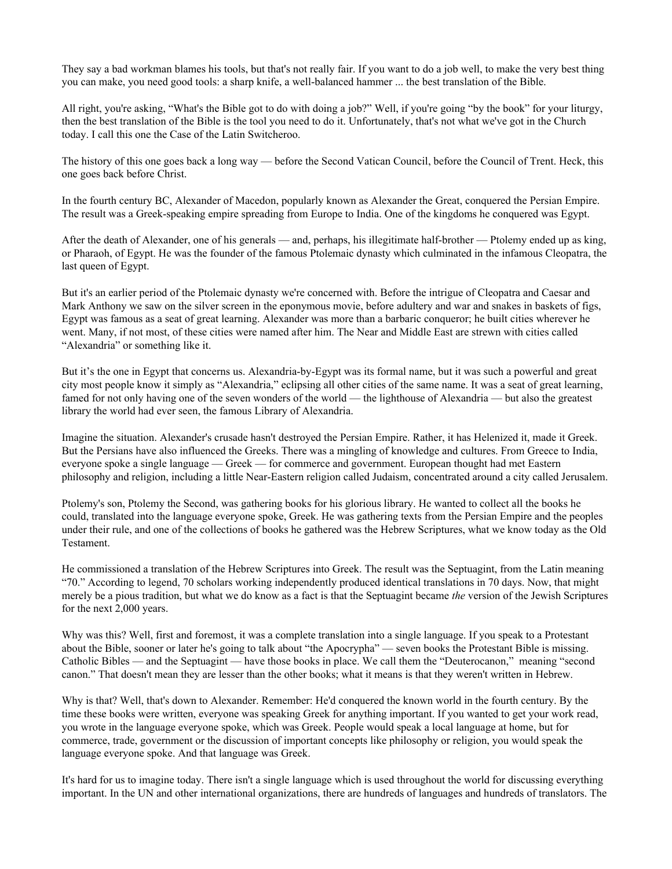They say a bad workman blames his tools, but that's not really fair. If you want to do a job well, to make the very best thing you can make, you need good tools: a sharp knife, a well-balanced hammer ... the best translation of the Bible.

All right, you're asking, "What's the Bible got to do with doing a job?" Well, if you're going "by the book" for your liturgy, then the best translation of the Bible is the tool you need to do it. Unfortunately, that's not what we've got in the Church today. I call this one the Case of the Latin Switcheroo.

The history of this one goes back a long way — before the Second Vatican Council, before the Council of Trent. Heck, this one goes back before Christ.

In the fourth century BC, Alexander of Macedon, popularly known as Alexander the Great, conquered the Persian Empire. The result was a Greek-speaking empire spreading from Europe to India. One of the kingdoms he conquered was Egypt.

After the death of Alexander, one of his generals — and, perhaps, his illegitimate half-brother — Ptolemy ended up as king, or Pharaoh, of Egypt. He was the founder of the famous Ptolemaic dynasty which culminated in the infamous Cleopatra, the last queen of Egypt.

But it's an earlier period of the Ptolemaic dynasty we're concerned with. Before the intrigue of Cleopatra and Caesar and Mark Anthony we saw on the silver screen in the eponymous movie, before adultery and war and snakes in baskets of figs, Egypt was famous as a seat of great learning. Alexander was more than a barbaric conqueror; he built cities wherever he went. Many, if not most, of these cities were named after him. The Near and Middle East are strewn with cities called "Alexandria" or something like it.

But it's the one in Egypt that concerns us. Alexandria-by-Egypt was its formal name, but it was such a powerful and great city most people know it simply as "Alexandria," eclipsing all other cities of the same name. It was a seat of great learning, famed for not only having one of the seven wonders of the world — the lighthouse of Alexandria — but also the greatest library the world had ever seen, the famous Library of Alexandria.

Imagine the situation. Alexander's crusade hasn't destroyed the Persian Empire. Rather, it has Helenized it, made it Greek. But the Persians have also influenced the Greeks. There was a mingling of knowledge and cultures. From Greece to India, everyone spoke a single language — Greek — for commerce and government. European thought had met Eastern philosophy and religion, including a little Near-Eastern religion called Judaism, concentrated around a city called Jerusalem.

Ptolemy's son, Ptolemy the Second, was gathering books for his glorious library. He wanted to collect all the books he could, translated into the language everyone spoke, Greek. He was gathering texts from the Persian Empire and the peoples under their rule, and one of the collections of books he gathered was the Hebrew Scriptures, what we know today as the Old Testament.

He commissioned a translation of the Hebrew Scriptures into Greek. The result was the Septuagint, from the Latin meaning "70." According to legend, 70 scholars working independently produced identical translations in 70 days. Now, that might merely be a pious tradition, but what we do know as a fact is that the Septuagint became *the* version of the Jewish Scriptures for the next 2,000 years.

Why was this? Well, first and foremost, it was a complete translation into a single language. If you speak to a Protestant about the Bible, sooner or later he's going to talk about "the Apocrypha" — seven books the Protestant Bible is missing. Catholic Bibles — and the Septuagint — have those books in place. We call them the "Deuterocanon," meaning "second canon." That doesn't mean they are lesser than the other books; what it means is that they weren't written in Hebrew.

Why is that? Well, that's down to Alexander. Remember: He'd conquered the known world in the fourth century. By the time these books were written, everyone was speaking Greek for anything important. If you wanted to get your work read, you wrote in the language everyone spoke, which was Greek. People would speak a local language at home, but for commerce, trade, government or the discussion of important concepts like philosophy or religion, you would speak the language everyone spoke. And that language was Greek.

It's hard for us to imagine today. There isn't a single language which is used throughout the world for discussing everything important. In the UN and other international organizations, there are hundreds of languages and hundreds of translators. The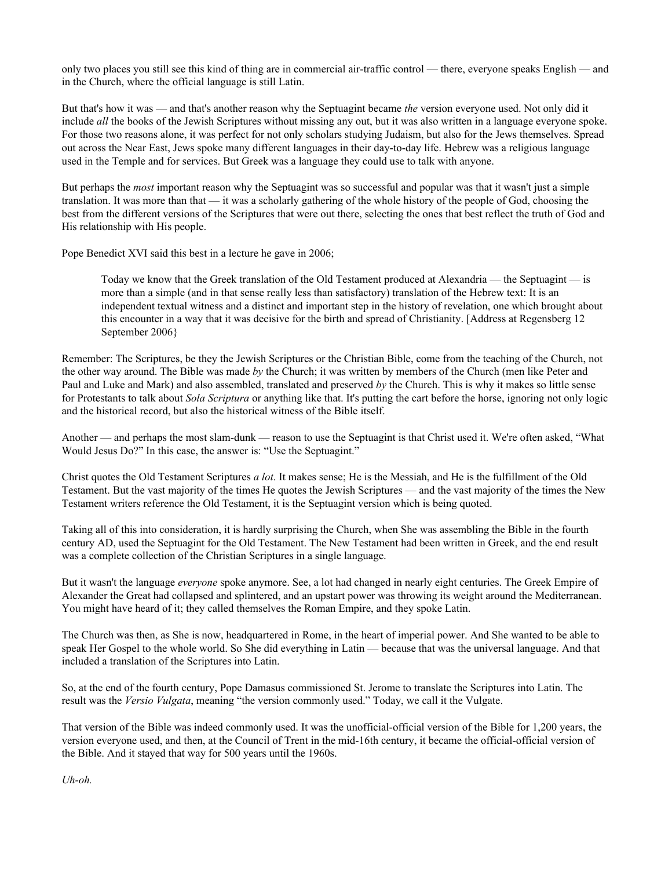only two places you still see this kind of thing are in commercial air-traffic control — there, everyone speaks English — and in the Church, where the official language is still Latin.

But that's how it was — and that's another reason why the Septuagint became *the* version everyone used. Not only did it include *all* the books of the Jewish Scriptures without missing any out, but it was also written in a language everyone spoke. For those two reasons alone, it was perfect for not only scholars studying Judaism, but also for the Jews themselves. Spread out across the Near East, Jews spoke many different languages in their day-to-day life. Hebrew was a religious language used in the Temple and for services. But Greek was a language they could use to talk with anyone.

But perhaps the *most* important reason why the Septuagint was so successful and popular was that it wasn't just a simple translation. It was more than that — it was a scholarly gathering of the whole history of the people of God, choosing the best from the different versions of the Scriptures that were out there, selecting the ones that best reflect the truth of God and His relationship with His people.

Pope Benedict XVI said this best in a lecture he gave in 2006;

Today we know that the Greek translation of the Old Testament produced at Alexandria — the Septuagint — is more than a simple (and in that sense really less than satisfactory) translation of the Hebrew text: It is an independent textual witness and a distinct and important step in the history of revelation, one which brought about this encounter in a way that it was decisive for the birth and spread of Christianity. [Address at Regensberg 12 September 2006}

Remember: The Scriptures, be they the Jewish Scriptures or the Christian Bible, come from the teaching of the Church, not the other way around. The Bible was made *by* the Church; it was written by members of the Church (men like Peter and Paul and Luke and Mark) and also assembled, translated and preserved *by* the Church. This is why it makes so little sense for Protestants to talk about *Sola Scriptura* or anything like that. It's putting the cart before the horse, ignoring not only logic and the historical record, but also the historical witness of the Bible itself.

Another — and perhaps the most slam-dunk — reason to use the Septuagint is that Christ used it. We're often asked, "What Would Jesus Do?" In this case, the answer is: "Use the Septuagint."

Christ quotes the Old Testament Scriptures *a lot*. It makes sense; He is the Messiah, and He is the fulfillment of the Old Testament. But the vast majority of the times He quotes the Jewish Scriptures — and the vast majority of the times the New Testament writers reference the Old Testament, it is the Septuagint version which is being quoted.

Taking all of this into consideration, it is hardly surprising the Church, when She was assembling the Bible in the fourth century AD, used the Septuagint for the Old Testament. The New Testament had been written in Greek, and the end result was a complete collection of the Christian Scriptures in a single language.

But it wasn't the language *everyone* spoke anymore. See, a lot had changed in nearly eight centuries. The Greek Empire of Alexander the Great had collapsed and splintered, and an upstart power was throwing its weight around the Mediterranean. You might have heard of it; they called themselves the Roman Empire, and they spoke Latin.

The Church was then, as She is now, headquartered in Rome, in the heart of imperial power. And She wanted to be able to speak Her Gospel to the whole world. So She did everything in Latin — because that was the universal language. And that included a translation of the Scriptures into Latin.

So, at the end of the fourth century, Pope Damasus commissioned St. Jerome to translate the Scriptures into Latin. The result was the *Versio Vulgata*, meaning "the version commonly used." Today, we call it the Vulgate.

That version of the Bible was indeed commonly used. It was the unofficial-official version of the Bible for 1,200 years, the version everyone used, and then, at the Council of Trent in the mid-16th century, it became the official-official version of the Bible. And it stayed that way for 500 years until the 1960s.

Uh-oh.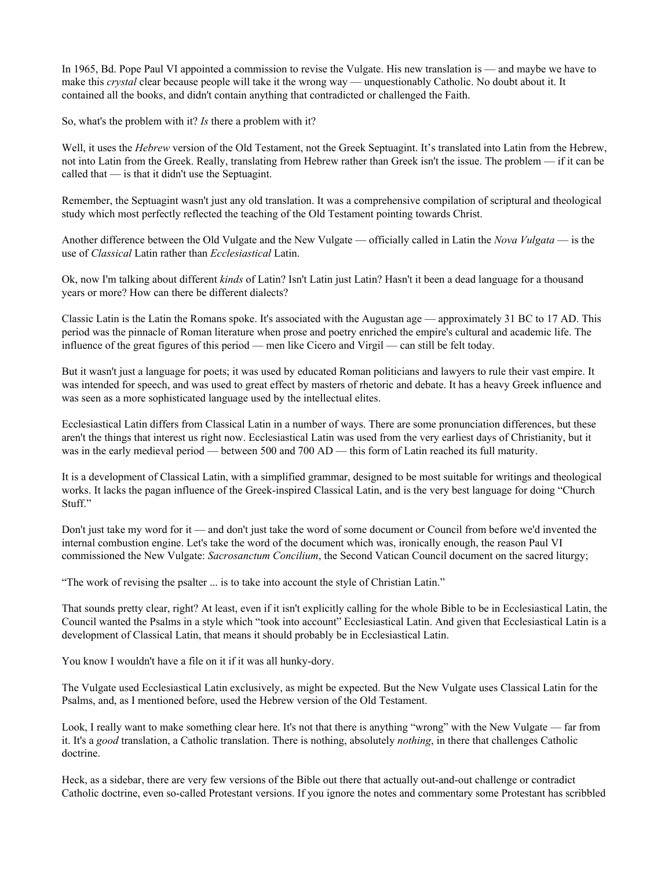In 1965, Bd. Pope Paul VI appointed a commission to revise the Vulgate. His new translation is — and maybe we have to make this *crystal* clear because people will take it the wrong way — unquestionably Catholic. No doubt about it. It contained all the books, and didn't contain anything that contradicted or challenged the Faith.

So, what's the problem with it? *Is* there a problem with it?

Well, it uses the *Hebrew* version of the Old Testament, not the Greek Septuagint. It's translated into Latin from the Hebrew, not into Latin from the Greek. Really, translating from Hebrew rather than Greek isn't the issue. The problem — if it can be called that — is that it didn't use the Septuagint.

Remember, the Septuagint wasn't just any old translation. It was a comprehensive compilation of scriptural and theological study which most perfectly reflected the teaching of the Old Testament pointing towards Christ.

Another difference between the Old Vulgate and the New Vulgate — officially called in Latin the *Nova Vulgata* — is the use of *Classical* Latin rather than *Ecclesiastical* Latin.

Ok, now I'm talking about different *kinds* of Latin? Isn't Latin just Latin? Hasn't it been a dead language for a thousand years or more? How can there be different dialects?

Classic Latin is the Latin the Romans spoke. It's associated with the Augustan age — approximately 31 BC to 17 AD. This period was the pinnacle of Roman literature when prose and poetry enriched the empire's cultural and academic life. The influence of the great figures of this period — men like Cicero and Virgil — can still be felt today.

But it wasn't just a language for poets; it was used by educated Roman politicians and lawyers to rule their vast empire. It was intended for speech, and was used to great effect by masters of rhetoric and debate. It has a heavy Greek influence and was seen as a more sophisticated language used by the intellectual elites.

Ecclesiastical Latin differs from Classical Latin in a number of ways. There are some pronunciation differences, but these aren't the things that interest us right now. Ecclesiastical Latin was used from the very earliest days of Christianity, but it was in the early medieval period — between 500 and 700 AD — this form of Latin reached its full maturity.

It is a development of Classical Latin, with a simplified grammar, designed to be most suitable for writings and theological works. It lacks the pagan influence of the Greek-inspired Classical Latin, and is the very best language for doing "Church" Stuff."

Don't just take my word for it — and don't just take the word of some document or Council from before we'd invented the internal combustion engine. Let's take the word of the document which was, ironically enough, the reason Paul VI commissioned the New Vulgate: *Sacrosanctum Concilium*, the Second Vatican Council document on the sacred liturgy;

"The work of revising the psalter ... is to take into account the style of Christian Latin."

That sounds pretty clear, right? At least, even if it isn't explicitly calling for the whole Bible to be in Ecclesiastical Latin, the Council wanted the Psalms in a style which "took into account" Ecclesiastical Latin. And given that Ecclesiastical Latin is a development of Classical Latin, that means it should probably be in Ecclesiastical Latin.

You know I wouldn't have a file on it if it was all hunky-dory.

The Vulgate used Ecclesiastical Latin exclusively, as might be expected. But the New Vulgate uses Classical Latin for the Psalms, and, as I mentioned before, used the Hebrew version of the Old Testament.

Look, I really want to make something clear here. It's not that there is anything "wrong" with the New Vulgate — far from it. It's a *good* translation, a Catholic translation. There is nothing, absolutely *nothing*, in there that challenges Catholic doctrine.

Heck, as a sidebar, there are very few versions of the Bible out there that actually out-and-out challenge or contradict Catholic doctrine, even socalled Protestant versions. If you ignore the notes and commentary some Protestant has scribbled